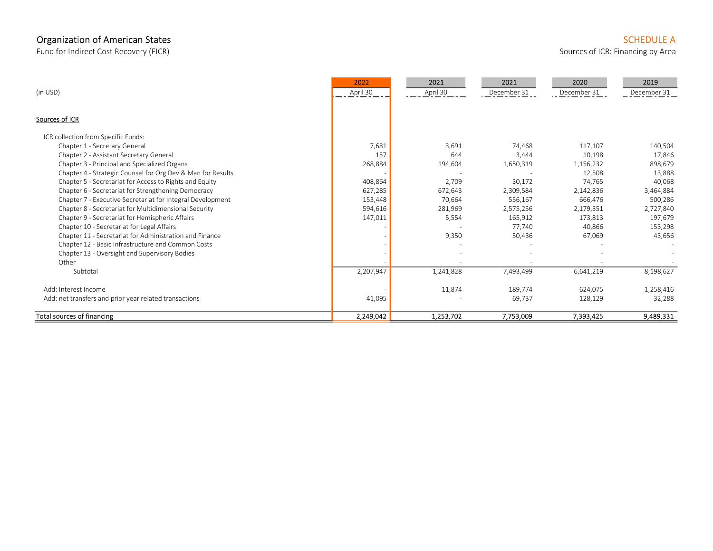# Organization of American States Schedule American States SCHEDULE American States SCHEDULE American States SCHEDULE A

Fund for Indirect Cost Recovery (FICR) Sources of ICR: Financing by Area

|                                                             | 2022      | 2021      | 2021        | 2020        | 2019        |
|-------------------------------------------------------------|-----------|-----------|-------------|-------------|-------------|
| (in USD)                                                    | April 30  | April 30  | December 31 | December 31 | December 31 |
| Sources of ICR                                              |           |           |             |             |             |
| ICR collection from Specific Funds:                         |           |           |             |             |             |
| Chapter 1 - Secretary General                               | 7,681     | 3,691     | 74,468      | 117,107     | 140,504     |
| Chapter 2 - Assistant Secretary General                     | 157       | 644       | 3,444       | 10,198      | 17,846      |
| Chapter 3 - Principal and Specialized Organs                | 268,884   | 194,604   | 1,650,319   | 1,156,232   | 898,679     |
| Chapter 4 - Strategic Counsel for Org Dev & Man for Results |           |           |             | 12,508      | 13,888      |
| Chapter 5 - Secretariat for Access to Rights and Equity     | 408,864   | 2,709     | 30,172      | 74,765      | 40,068      |
| Chapter 6 - Secretariat for Strengthening Democracy         | 627,285   | 672,643   | 2,309,584   | 2,142,836   | 3,464,884   |
| Chapter 7 - Executive Secretariat for Integral Development  | 153,448   | 70,664    | 556,167     | 666,476     | 500,286     |
| Chapter 8 - Secretariat for Multidimensional Security       | 594,616   | 281,969   | 2,575,256   | 2,179,351   | 2,727,840   |
| Chapter 9 - Secretariat for Hemispheric Affairs             | 147,011   | 5,554     | 165,912     | 173,813     | 197,679     |
| Chapter 10 - Secretariat for Legal Affairs                  |           |           | 77,740      | 40,866      | 153,298     |
| Chapter 11 - Secretariat for Administration and Finance     |           | 9,350     | 50,436      | 67,069      | 43,656      |
| Chapter 12 - Basic Infrastructure and Common Costs          |           |           |             |             |             |
| Chapter 13 - Oversight and Supervisory Bodies               |           |           |             |             |             |
| Other                                                       |           |           |             |             |             |
| Subtotal                                                    | 2,207,947 | 1,241,828 | 7,493,499   | 6,641,219   | 8,198,627   |
| Add: Interest Income                                        |           | 11,874    | 189,774     | 624,075     | 1,258,416   |
| Add: net transfers and prior year related transactions      | 41,095    |           | 69,737      | 128,129     | 32,288      |
| <b>Total sources of financing</b>                           | 2,249,042 | 1,253,702 | 7,753,009   | 7,393,425   | 9,489,331   |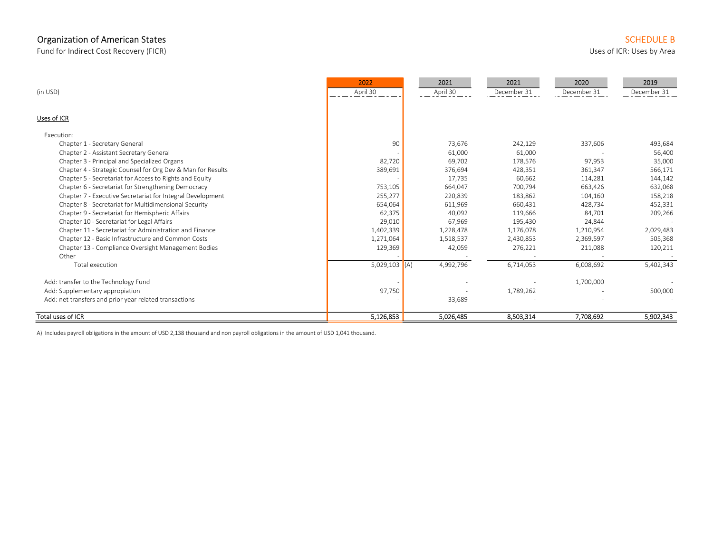# Organization of American States SCHEDULE B SCHEDULE B

Fund for Indirect Cost Recovery (FICR) States by Area and the Uses of ICR: Uses by Area Uses of ICR: Uses by Area

|                                                             | 2022            | 2021      | 2021        | 2020        | 2019        |
|-------------------------------------------------------------|-----------------|-----------|-------------|-------------|-------------|
| (in USD)                                                    | April 30        | April 30  | December 31 | December 31 | December 31 |
|                                                             |                 |           |             |             |             |
| Uses of ICR                                                 |                 |           |             |             |             |
| Execution:                                                  |                 |           |             |             |             |
| Chapter 1 - Secretary General                               | 90              | 73,676    | 242,129     | 337,606     | 493,684     |
| Chapter 2 - Assistant Secretary General                     |                 | 61,000    | 61,000      |             | 56,400      |
| Chapter 3 - Principal and Specialized Organs                | 82,720          | 69.702    | 178,576     | 97,953      | 35,000      |
| Chapter 4 - Strategic Counsel for Org Dev & Man for Results | 389,691         | 376,694   | 428,351     | 361,347     | 566,171     |
| Chapter 5 - Secretariat for Access to Rights and Equity     |                 | 17,735    | 60,662      | 114,281     | 144,142     |
| Chapter 6 - Secretariat for Strengthening Democracy         | 753,105         | 664,047   | 700,794     | 663,426     | 632,068     |
| Chapter 7 - Executive Secretariat for Integral Development  | 255,277         | 220,839   | 183,862     | 104,160     | 158,218     |
| Chapter 8 - Secretariat for Multidimensional Security       | 654,064         | 611,969   | 660,431     | 428,734     | 452,331     |
| Chapter 9 - Secretariat for Hemispheric Affairs             | 62,375          | 40,092    | 119,666     | 84,701      | 209,266     |
| Chapter 10 - Secretariat for Legal Affairs                  | 29,010          | 67,969    | 195,430     | 24,844      |             |
| Chapter 11 - Secretariat for Administration and Finance     | 1,402,339       | 1,228,478 | 1,176,078   | 1,210,954   | 2,029,483   |
| Chapter 12 - Basic Infrastructure and Common Costs          | 1,271,064       | 1,518,537 | 2,430,853   | 2,369,597   | 505,368     |
| Chapter 13 - Compliance Oversight Management Bodies         | 129,369         | 42,059    | 276,221     | 211,088     | 120,211     |
| Other                                                       |                 |           |             |             |             |
| Total execution                                             | $5,029,103$ (A) | 4,992,796 | 6,714,053   | 6,008,692   | 5,402,343   |
| Add: transfer to the Technology Fund                        |                 |           |             | 1,700,000   |             |
| Add: Supplementary appropiation                             | 97,750          |           | 1,789,262   |             | 500,000     |
| Add: net transfers and prior year related transactions      |                 | 33,689    |             |             |             |
| Total uses of ICR                                           | 5,126,853       | 5,026,485 | 8,503,314   | 7,708,692   | 5,902,343   |

A) Includes payroll obligations in the amount of USD 2,138 thousand and non payroll obligations in the amount of USD 1,041 thousand.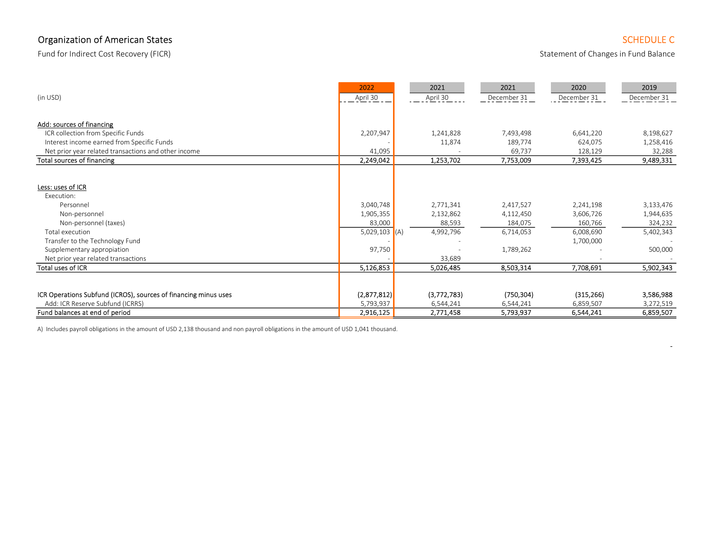## Organization of American States Schedule Controller Controller Controller Controller Controller Controller Controller Controller Controller Controller Controller Controller Controller Controller Controller Controller Contr

Fund for Indirect Cost Recovery (FICR) **Statement of Changes in Fund Balance** Statement of Changes in Fund Balance

- 1990 - 1990 - 1991 - 1992<br>1992 - 1992 - 1992 - 1992 - 1992 - 1992 - 1992 - 1992 - 1992 - 1992 - 1992 - 1992 - 1992 - 1992 - 1992 - 1992

| (in USD)                                                                                                                                                                   | 2022<br>April 30                                              | 2021<br>April 30                              | 2021<br>December 31                                         | 2020<br>December 31                                         | 2019<br>December 31                                       |
|----------------------------------------------------------------------------------------------------------------------------------------------------------------------------|---------------------------------------------------------------|-----------------------------------------------|-------------------------------------------------------------|-------------------------------------------------------------|-----------------------------------------------------------|
| Add: sources of financing                                                                                                                                                  |                                                               |                                               |                                                             |                                                             |                                                           |
| ICR collection from Specific Funds                                                                                                                                         | 2,207,947                                                     | 1,241,828                                     | 7,493,498                                                   | 6,641,220                                                   | 8,198,627                                                 |
| Interest income earned from Specific Funds                                                                                                                                 |                                                               | 11,874                                        | 189,774                                                     | 624,075                                                     | 1,258,416                                                 |
| Net prior year related transactions and other income                                                                                                                       | 41,095                                                        |                                               | 69,737                                                      | 128,129                                                     | 32,288                                                    |
| Total sources of financing                                                                                                                                                 | 2,249,042                                                     | 1,253,702                                     | 7,753,009                                                   | 7,393,425                                                   | 9,489,331                                                 |
| Less: uses of ICR<br>Execution:<br>Personnel<br>Non-personnel<br>Non-personnel (taxes)<br>Total execution<br>Transfer to the Technology Fund<br>Supplementary appropiation | 3,040,748<br>1,905,355<br>83,000<br>5,029,103 $(A)$<br>97,750 | 2,771,341<br>2,132,862<br>88,593<br>4,992,796 | 2,417,527<br>4,112,450<br>184,075<br>6,714,053<br>1,789,262 | 2,241,198<br>3,606,726<br>160,766<br>6,008,690<br>1,700,000 | 3,133,476<br>1,944,635<br>324,232<br>5,402,343<br>500,000 |
| Net prior year related transactions                                                                                                                                        |                                                               | 33,689                                        |                                                             |                                                             |                                                           |
| Total uses of ICR                                                                                                                                                          | 5,126,853                                                     | 5,026,485                                     | 8,503,314                                                   | 7,708,691                                                   | 5,902,343                                                 |
| ICR Operations Subfund (ICROS), sources of financing minus uses<br>Add: ICR Reserve Subfund (ICRRS)<br>Fund balances at end of period                                      | (2,877,812)<br>5,793,937<br>2,916,125                         | (3,772,783)<br>6,544,241<br>2,771,458         | (750, 304)<br>6,544,241<br>5,793,937                        | (315, 266)<br>6,859,507<br>6,544,241                        | 3,586,988<br>3,272,519<br>6,859,507                       |

A) Includes payroll obligations in the amount of USD 2,138 thousand and non payroll obligations in the amount of USD 1,041 thousand.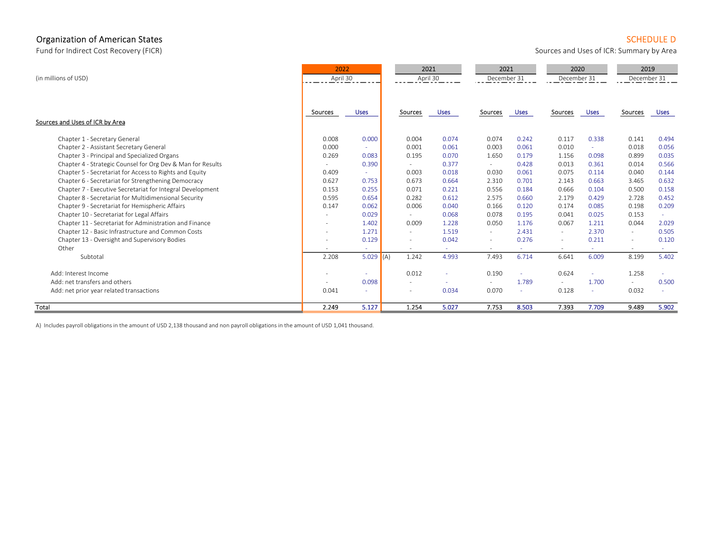#### Organization of American States Schedule D and SCHEDULE D and SCHEDULE D and SCHEDULE D and SCHEDULE D and SCHEDULE D

Fund for Indirect Cost Recovery (FICR) **Sources and Uses of ICR: Summary by Area** 

| (in millions of USD)                                        | 2022<br>April 30 |             | 2021<br>April 30 |             | 2021<br>December 31 |             | 2020<br>December 31 |             | 2019<br>December 31 |             |
|-------------------------------------------------------------|------------------|-------------|------------------|-------------|---------------------|-------------|---------------------|-------------|---------------------|-------------|
| Sources and Uses of ICR by Area                             | Sources          | <b>Uses</b> | Sources          | <b>Uses</b> | Sources             | <b>Uses</b> | Sources             | <b>Uses</b> | Sources             | <b>Uses</b> |
|                                                             |                  |             |                  |             |                     |             |                     |             |                     |             |
| Chapter 1 - Secretary General                               | 0.008            | 0.000       | 0.004            | 0.074       | 0.074               | 0.242       | 0.117               | 0.338       | 0.141               | 0.494       |
| Chapter 2 - Assistant Secretary General                     | 0.000            | $\sim$      | 0.001            | 0.061       | 0.003               | 0.061       | 0.010               | $\sim$      | 0.018               | 0.056       |
| Chapter 3 - Principal and Specialized Organs                | 0.269            | 0.083       | 0.195            | 0.070       | 1.650               | 0.179       | 1.156               | 0.098       | 0.899               | 0.035       |
| Chapter 4 - Strategic Counsel for Org Dev & Man for Results | $\sim$           | 0.390       | $\sim$           | 0.377       | $\sim$              | 0.428       | 0.013               | 0.361       | 0.014               | 0.566       |
| Chapter 5 - Secretariat for Access to Rights and Equity     | 0.409            | ×.          | 0.003            | 0.018       | 0.030               | 0.061       | 0.075               | 0.114       | 0.040               | 0.144       |
| Chapter 6 - Secretariat for Strengthening Democracy         | 0.627            | 0.753       | 0.673            | 0.664       | 2.310               | 0.701       | 2.143               | 0.663       | 3.465               | 0.632       |
| Chapter 7 - Executive Secretariat for Integral Development  | 0.153            | 0.255       | 0.071            | 0.221       | 0.556               | 0.184       | 0.666               | 0.104       | 0.500               | 0.158       |
| Chapter 8 - Secretariat for Multidimensional Security       | 0.595            | 0.654       | 0.282            | 0.612       | 2.575               | 0.660       | 2.179               | 0.429       | 2.728               | 0.452       |
| Chapter 9 - Secretariat for Hemispheric Affairs             | 0.147            | 0.062       | 0.006            | 0.040       | 0.166               | 0.120       | 0.174               | 0.085       | 0.198               | 0.209       |
| Chapter 10 - Secretariat for Legal Affairs                  | $\sim$           | 0.029       | $\sim$           | 0.068       | 0.078               | 0.195       | 0.041               | 0.025       | 0.153               | $\sim$      |
| Chapter 11 - Secretariat for Administration and Finance     |                  | 1.402       | 0.009            | 1.228       | 0.050               | 1.176       | 0.067               | 1.211       | 0.044               | 2.029       |
| Chapter 12 - Basic Infrastructure and Common Costs          |                  | 1.271       | $\sim$           | 1.519       | $\sim$              | 2.431       | $\sim$              | 2.370       | $\sim$              | 0.505       |
| Chapter 13 - Oversight and Supervisory Bodies               | $\sim$           | 0.129       |                  | 0.042       | $\sim$              | 0.276       | $\sim$              | 0.211       | $\sim$              | 0.120       |
| Other                                                       |                  |             |                  | ÷           |                     |             |                     |             | $\sim$              |             |
| Subtotal                                                    | 2.208            | 5.029 $(A)$ | 1.242            | 4.993       | 7.493               | 6.714       | 6.641               | 6.009       | 8.199               | 5.402       |
| Add: Interest Income                                        |                  | $\sim$      | 0.012            | ٠           | 0.190               | $\sim$      | 0.624               | A.          | 1.258               |             |
| Add: net transfers and others                               | $\sim$           | 0.098       |                  | ÷           | $\sim$              | 1.789       | $\mathbf{r}$        | 1.700       | $\sim$              | 0.500       |
| Add: net prior year related transactions                    | 0.041            |             |                  | 0.034       | 0.070               |             | 0.128               |             | 0.032               |             |
| Total                                                       | 2.249            | 5.127       | 1.254            | 5.027       | 7.753               | 8.503       | 7.393               | 7.709       | 9.489               | 5.902       |

A) Includes payroll obligations in the amount of USD 2,138 thousand and non payroll obligations in the amount of USD 1,041 thousand.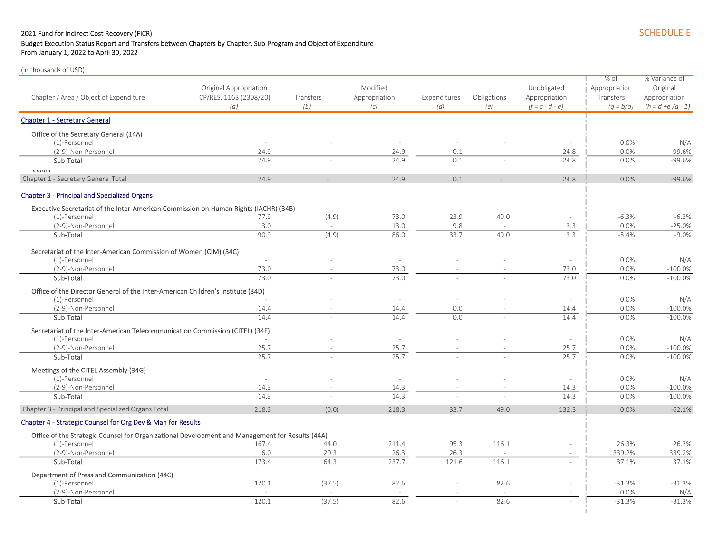#### 2021 Fund for Indirect Cost Recovery (FICR) SCHEDULE E

## Budget Execution Status Report and Transfers between Chapters by Chapter, Sub-Program and Object of Expenditure

From January 1, 2022 to April 30, 2022

| Chapter / Area / Object of Expenditure                                                          | Original Appropriation<br>CP/RES. 1163 (2308/20)<br>(a) | Transfers<br>(b) | Modified<br>Appropriation<br>(c) | Expenditures<br>(d) | Obligations<br>(e) | Unobligated<br>Appropriation<br>$(f = c - d - e)$ | % of<br>Appropriation<br>Transfers<br>$(q = b/a)$ | % Variance of<br>Original<br>Appropriation<br>$(h = d + e/a - 1)$ |
|-------------------------------------------------------------------------------------------------|---------------------------------------------------------|------------------|----------------------------------|---------------------|--------------------|---------------------------------------------------|---------------------------------------------------|-------------------------------------------------------------------|
| <b>Chapter 1 - Secretary General</b>                                                            |                                                         |                  |                                  |                     |                    |                                                   |                                                   |                                                                   |
| Office of the Secretary General (14A)                                                           |                                                         |                  |                                  |                     |                    |                                                   |                                                   |                                                                   |
| (1)-Personnel                                                                                   |                                                         |                  |                                  |                     |                    |                                                   | 0.0%                                              | N/A                                                               |
| (2-9)-Non-Personnel                                                                             | 24.9                                                    |                  | 24.9                             | 0.1                 |                    | 24.8                                              | 0.0%                                              | $-99.6%$                                                          |
| Sub-Total                                                                                       | 24.9                                                    |                  | 24.9                             | 0.1                 |                    | 24.8                                              | 0.0%                                              | $-99.6%$                                                          |
| mmm<br>Chapter 1 - Secretary General Total                                                      | 24.9                                                    |                  | 24.9                             | 0.1                 |                    | 24.8                                              | 0.0%                                              | $-99.6%$                                                          |
| <b>Chapter 3 - Principal and Specialized Organs</b>                                             |                                                         |                  |                                  |                     |                    |                                                   |                                                   |                                                                   |
| Executive Secretariat of the Inter-American Commission on Human Rights (IACHR) (34B)            |                                                         |                  |                                  |                     |                    |                                                   |                                                   |                                                                   |
| (1)-Personnel                                                                                   | 77.9                                                    | (4.9)            | 73.0                             | 23.9                | 49.0               |                                                   | $-6.3%$                                           | $-6.3%$                                                           |
| (2-9)-Non-Personnel                                                                             | 13.0                                                    |                  | 13.0                             | 9.8                 |                    | 3.3                                               | 0.0%                                              | $-25.0%$                                                          |
| Sub-Total                                                                                       | 90.9                                                    | (4.9)            | 86.0                             | 33.7                | 49.0               | 3.3                                               | $-5.4%$                                           | $-9.0%$                                                           |
| Secretariat of the Inter-American Commission of Women (CIM) (34C)                               |                                                         |                  |                                  |                     |                    |                                                   |                                                   |                                                                   |
| (1)-Personnel                                                                                   | $\sim$                                                  |                  | $\sim$                           |                     |                    | $\sim$                                            | 0.0%                                              | N/A                                                               |
| (2-9)-Non-Personnel                                                                             | 73.0                                                    |                  | 73.0                             |                     |                    | 73.0                                              | 0.0%                                              | $-100.0%$                                                         |
| Sub-Total                                                                                       | 73.0                                                    |                  | 73.0                             |                     |                    | 73.0                                              | 0.0%                                              | $-100.0%$                                                         |
| Office of the Director General of the Inter-American Children's Institute (34D)                 |                                                         |                  |                                  |                     |                    |                                                   |                                                   |                                                                   |
| (1)-Personnel                                                                                   |                                                         |                  | $\sim$                           |                     |                    | $\sim$                                            | 0.0%                                              | N/A                                                               |
| (2-9)-Non-Personnel                                                                             | 14.4                                                    |                  | 14.4                             | 0.0                 |                    | 14.4                                              | 0.0%                                              | $-100.0%$                                                         |
| Sub-Total                                                                                       | 14.4                                                    |                  | 14.4                             | 0.0                 |                    | 14.4                                              | 0.0%                                              | $-100.0%$                                                         |
| Secretariat of the Inter-American Telecommunication Commission (CITEL) (34F)<br>(1)-Personnel   |                                                         |                  | $\sim$                           |                     |                    | $\sim$                                            | 0.0%                                              | N/A                                                               |
| (2-9)-Non-Personnel                                                                             | 25.7                                                    |                  | 25.7                             |                     |                    | 25.7                                              | 0.0%                                              | $-100.0%$                                                         |
| Sub-Total                                                                                       | 25.7                                                    |                  | 25.7                             |                     |                    | 25.7                                              | 0.0%                                              | $-100.0%$                                                         |
| Meetings of the CITEL Assembly (34G)                                                            |                                                         |                  |                                  |                     |                    |                                                   |                                                   |                                                                   |
| (1)-Personnel                                                                                   | $\sim$                                                  |                  | $\overline{a}$                   |                     |                    | ÷.                                                | 0.0%                                              | N/A                                                               |
| (2-9)-Non-Personnel                                                                             | 14.3                                                    |                  | 14.3                             |                     |                    | 14.3                                              | 0.0%                                              | $-100.0%$                                                         |
| Sub-Total                                                                                       | 14.3                                                    |                  | 14.3                             |                     |                    | 14.3                                              | 0.0%                                              | $-100.0%$                                                         |
| Chapter 3 - Principal and Specialized Organs Total                                              | 218.3                                                   | (0.0)            | 218.3                            | 33.7                | 49.0               | 132.3                                             | 0.0%                                              | $-62.1%$                                                          |
| Chapter 4 - Strategic Counsel for Org Dev & Man for Results                                     |                                                         |                  |                                  |                     |                    |                                                   |                                                   |                                                                   |
| Office of the Strategic Counsel for Organizational Development and Management for Results (44A) |                                                         |                  |                                  |                     |                    |                                                   |                                                   |                                                                   |
| (1)-Personnel                                                                                   | 167.4                                                   | 44.0             | 211.4                            | 95.3                | 116.1              |                                                   | 26.3%                                             | 26.3%                                                             |
| (2-9)-Non-Personnel                                                                             | 6.0                                                     | 20.3             | 26.3                             | 26.3                |                    | $\sim$                                            | 339.2%                                            | 339.2%                                                            |
| Sub-Total                                                                                       | 173.4                                                   | 64.3             | 237.7                            | 121.6               | 116.1              |                                                   | 37.1%                                             | 37.1%                                                             |
| Department of Press and Communication (44C)                                                     |                                                         |                  |                                  |                     |                    |                                                   |                                                   |                                                                   |
| (1)-Personnel                                                                                   | 120.1                                                   | (37.5)           | 82.6                             |                     | 82.6               | $\bar{a}$                                         | $-31.3%$                                          | $-31.3%$                                                          |
| (2-9)-Non-Personnel                                                                             |                                                         |                  |                                  |                     |                    |                                                   | 0.0%                                              | N/A                                                               |
| Sub-Total                                                                                       | 120.1                                                   | (37.5)           | 82.6                             |                     | 82.6               |                                                   | $-31.3%$                                          | $-31.3%$                                                          |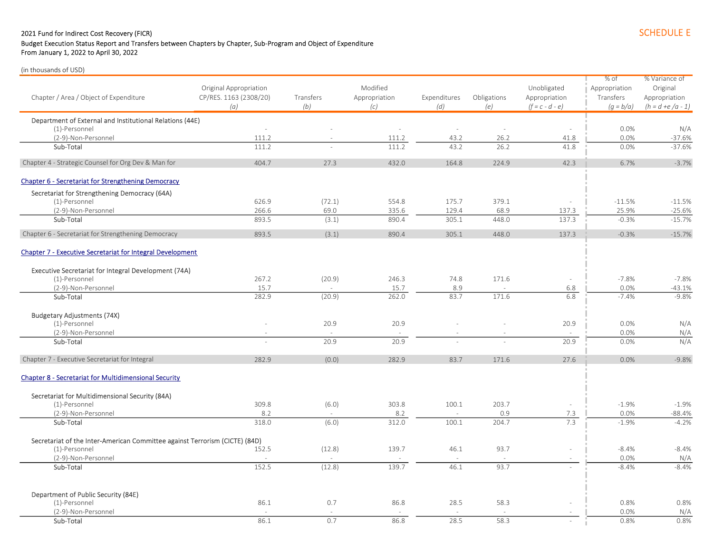### 2021 Fund for Indirect Cost Recovery (FICR) SCHEDULE E

# Budget Execution Status Report and Transfers between Chapters by Chapter, Sub-Program and Object of Expenditure

From January 1, 2022 to April 30, 2022

|                                                                             |                        |           |               |              |             |                          | % of          | % Variance of       |
|-----------------------------------------------------------------------------|------------------------|-----------|---------------|--------------|-------------|--------------------------|---------------|---------------------|
|                                                                             | Original Appropriation |           | Modified      |              |             | Unobligated              | Appropriation | Original            |
| Chapter / Area / Object of Expenditure                                      | CP/RES. 1163 (2308/20) | Transfers | Appropriation | Expenditures | Obligations | Appropriation            | Transfers     | Appropriation       |
|                                                                             | (a)                    | (b)       | (c)           | (d)          | (e)         | $(f = c - d - e)$        | $(q = b/a)$   | $(h = d + e/a - 1)$ |
| Department of External and Institutional Relations (44E)                    |                        |           |               |              |             |                          |               |                     |
| (1)-Personnel                                                               | $\sim$                 |           | $\sim$        | $\sim$       |             | $\sim$                   | 0.0%          | N/A                 |
| (2-9)-Non-Personnel                                                         | 111.2                  |           | 111.2         | 43.2         | 26.2        | 41.8                     | 0.0%          | $-37.6%$            |
| Sub-Total                                                                   | 111.2                  |           | 111.2         | 43.2         | 26.2        | 41.8                     | 0.0%          | $-37.6%$            |
| Chapter 4 - Strategic Counsel for Org Dev & Man for                         | 404.7                  | 27.3      | 432.0         | 164.8        | 224.9       | 42.3                     | 6.7%          | $-3.7%$             |
| <b>Chapter 6 - Secretariat for Strengthening Democracy</b>                  |                        |           |               |              |             |                          |               |                     |
| Secretariat for Strengthening Democracy (64A)                               |                        |           |               |              |             |                          |               |                     |
| (1)-Personnel                                                               | 626.9                  | (72.1)    | 554.8         | 175.7        | 379.1       | L.                       | $-11.5%$      | $-11.5%$            |
| (2-9)-Non-Personnel                                                         | 266.6                  | 69.0      | 335.6         | 129.4        | 68.9        | 137.3                    | 25.9%         | $-25.6%$            |
| Sub-Total                                                                   | 893.5                  | (3.1)     | 890.4         | 305.1        | 448.0       | 137.3                    | $-0.3%$       | $-15.7%$            |
|                                                                             |                        |           |               |              |             |                          |               |                     |
| Chapter 6 - Secretariat for Strengthening Democracy                         | 893.5                  | (3.1)     | 890.4         | 305.1        | 448.0       | 137.3                    | $-0.3%$       | $-15.7%$            |
| <b>Chapter 7 - Executive Secretariat for Integral Development</b>           |                        |           |               |              |             |                          |               |                     |
| Executive Secretariat for Integral Development (74A)                        |                        |           |               |              |             |                          |               |                     |
| (1)-Personnel                                                               | 267.2                  | (20.9)    | 246.3         | 74.8         | 171.6       | ÷                        | $-7.8%$       | $-7.8%$             |
| (2-9)-Non-Personnel                                                         | 15.7                   |           | 15.7          | 8.9          |             | 6.8                      | 0.0%          | $-43.1%$            |
| Sub-Total                                                                   | 282.9                  | (20.9)    | 262.0         | 83.7         | 171.6       | 6.8                      | $-7.4%$       | $-9.8%$             |
|                                                                             |                        |           |               |              |             |                          |               |                     |
| <b>Budgetary Adjustments (74X)</b>                                          |                        |           |               |              |             |                          |               |                     |
| (1)-Personnel                                                               |                        | 20.9      | 20.9          |              |             | 20.9                     | 0.0%          | N/A                 |
| (2-9)-Non-Personnel                                                         |                        |           |               |              |             |                          | 0.0%          | N/A                 |
| Sub-Total                                                                   | $\sim$                 | 20.9      | 20.9          |              |             | 20.9                     | 0.0%          | N/A                 |
| Chapter 7 - Executive Secretariat for Integral                              | 282.9                  | (0.0)     | 282.9         | 83.7         | 171.6       | 27.6                     | 0.0%          | $-9.8%$             |
| <b>Chapter 8 - Secretariat for Multidimensional Security</b>                |                        |           |               |              |             |                          |               |                     |
|                                                                             |                        |           |               |              |             |                          |               |                     |
| Secretariat for Multidimensional Security (84A)                             |                        |           |               |              |             |                          |               |                     |
| (1)-Personnel                                                               | 309.8                  | (6.0)     | 303.8         | 100.1        | 203.7       | $\sim$                   | $-1.9%$       | $-1.9%$             |
| (2-9)-Non-Personnel                                                         | 8.2                    |           | 8.2           |              | 0.9         | 7.3                      | 0.0%          | $-88.4%$            |
| Sub-Total                                                                   | 318.0                  | (6.0)     | 312.0         | 100.1        | 204.7       | 7.3                      | $-1.9%$       | $-4.2%$             |
| Secretariat of the Inter-American Committee against Terrorism (CICTE) (84D) |                        |           |               |              |             |                          |               |                     |
| (1)-Personnel                                                               | 152.5                  | (12.8)    | 139.7         | 46.1         | 93.7        | ÷,                       | $-8.4%$       | $-8.4%$             |
| (2-9)-Non-Personnel                                                         |                        |           |               |              |             |                          | 0.0%          | N/A                 |
| Sub-Total                                                                   | 152.5                  | (12.8)    | 139.7         | 46.1         | 93.7        |                          | $-8.4%$       | $-8.4%$             |
|                                                                             |                        |           |               |              |             |                          |               |                     |
| Department of Public Security (84E)                                         |                        |           |               |              |             |                          |               |                     |
| (1)-Personnel                                                               | 86.1                   | 0.7       | 86.8          | 28.5         | 58.3        |                          | 0.8%          | 0.8%                |
| (2-9)-Non-Personnel                                                         | $\sim$                 |           |               |              |             | $\overline{\phantom{a}}$ | 0.0%          | N/A                 |
| Sub-Total                                                                   | 86.1                   | 0.7       | 86.8          | 28.5         | 58.3        | $\sim$                   | 0.8%          | 0.8%                |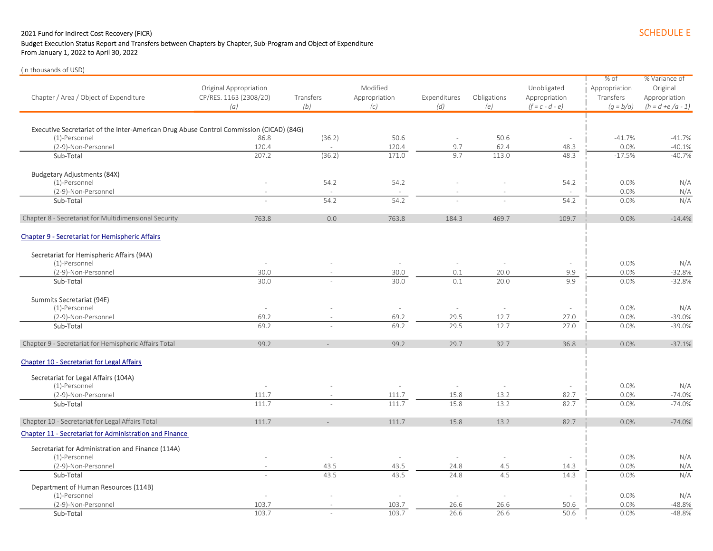#### 2021 Fund for Indirect Cost Recovery (FICR) SCHEDULE E Budget Execution Status Report and Transfers between Chapters by Chapter, Sub-Program and Object of Expenditure From January 1, 2022 to April 30, 2022

| Chapter / Area / Object of Expenditure                                                  | Original Appropriation<br>CP/RES. 1163 (2308/20)<br>(a) | Transfers<br>(b) | Modified<br>Appropriation<br>(c) | Expenditures<br>(d) | Obligations<br>(e)       | Unobligated<br>Appropriation<br>$(f = c - d - e)$ | % of<br>Appropriation<br>Transfers<br>$(q = b/a)$ | % Variance of<br>Original<br>Appropriation<br>$(h = d + e/a - 1)$ |
|-----------------------------------------------------------------------------------------|---------------------------------------------------------|------------------|----------------------------------|---------------------|--------------------------|---------------------------------------------------|---------------------------------------------------|-------------------------------------------------------------------|
|                                                                                         |                                                         |                  |                                  |                     |                          |                                                   |                                                   |                                                                   |
| Executive Secretariat of the Inter-American Drug Abuse Control Commission (CICAD) (84G) |                                                         |                  |                                  |                     |                          |                                                   |                                                   |                                                                   |
| (1)-Personnel                                                                           | 86.8                                                    | (36.2)           | 50.6                             | $\sim$              | 50.6                     | $\sim$                                            | $-41.7%$<br>0.0%                                  | $-41.7%$                                                          |
| (2-9)-Non-Personnel<br>Sub-Total                                                        | 120.4<br>207.2                                          | (36.2)           | 120.4<br>171.0                   | 9.7<br>9.7          | 62.4<br>113.0            | 48.3<br>48.3                                      | $-17.5%$                                          | $-40.1%$<br>$-40.7%$                                              |
|                                                                                         |                                                         |                  |                                  |                     |                          |                                                   |                                                   |                                                                   |
| <b>Budgetary Adjustments (84X)</b>                                                      |                                                         |                  |                                  |                     |                          |                                                   |                                                   |                                                                   |
| (1)-Personnel                                                                           |                                                         | 54.2             | 54.2                             |                     |                          | 54.2                                              | 0.0%                                              | N/A                                                               |
| (2-9)-Non-Personnel                                                                     |                                                         |                  |                                  |                     |                          |                                                   | 0.0%                                              | N/A                                                               |
| Sub-Total                                                                               |                                                         | 54.2             | 54.2                             |                     |                          | 54.2                                              | 0.0%                                              | N/A                                                               |
| Chapter 8 - Secretariat for Multidimensional Security                                   | 763.8                                                   | 0.0              | 763.8                            | 184.3               | 469.7                    | 109.7                                             | 0.0%                                              | $-14.4%$                                                          |
| <b>Chapter 9 - Secretariat for Hemispheric Affairs</b>                                  |                                                         |                  |                                  |                     |                          |                                                   |                                                   |                                                                   |
| Secretariat for Hemispheric Affairs (94A)                                               |                                                         |                  |                                  |                     |                          |                                                   |                                                   |                                                                   |
| (1)-Personnel                                                                           | $\sim$                                                  |                  | $\sim$                           |                     |                          | $\sim$                                            | 0.0%                                              | N/A                                                               |
| (2-9)-Non-Personnel                                                                     | 30.0                                                    |                  | 30.0                             | 0.1                 | 20.0                     | 9.9                                               | 0.0%                                              | $-32.8%$                                                          |
| Sub-Total                                                                               | 30.0                                                    |                  | 30.0                             | 0.1                 | 20.0                     | 9.9                                               | 0.0%                                              | $-32.8%$                                                          |
| Summits Secretariat (94E)                                                               |                                                         |                  |                                  |                     |                          |                                                   |                                                   |                                                                   |
| (1)-Personnel                                                                           | $\sim$                                                  |                  | $\sim$                           | $\sim$              | $\overline{\phantom{a}}$ | $\sim$                                            | 0.0%                                              | N/A                                                               |
| (2-9)-Non-Personnel                                                                     | 69.2                                                    |                  | 69.2                             | 29.5                | 12.7                     | 27.0                                              | 0.0%                                              | $-39.0%$                                                          |
| Sub-Total                                                                               | 69.2                                                    |                  | 69.2                             | 29.5                | 12.7                     | 27.0                                              | 0.0%                                              | $-39.0%$                                                          |
| Chapter 9 - Secretariat for Hemispheric Affairs Total                                   | 99.2                                                    |                  | 99.2                             | 29.7                | 32.7                     | 36.8                                              | 0.0%                                              | $-37.1%$                                                          |
| Chapter 10 - Secretariat for Legal Affairs                                              |                                                         |                  |                                  |                     |                          |                                                   |                                                   |                                                                   |
| Secretariat for Legal Affairs (104A)                                                    |                                                         |                  |                                  |                     |                          |                                                   |                                                   |                                                                   |
| (1)-Personnel                                                                           | $\sim$                                                  |                  | $\sim$                           | $\sim$              | $\sim$                   | $\sim$                                            | 0.0%                                              | N/A                                                               |
| (2-9)-Non-Personnel                                                                     | 111.7                                                   |                  | 111.7                            | 15.8                | 13.2                     | 82.7                                              | 0.0%                                              | $-74.0%$                                                          |
| Sub-Total                                                                               | 111.7                                                   |                  | 111.7                            | 15.8                | 13.2                     | 82.7                                              | 0.0%                                              | $-74.0%$                                                          |
| Chapter 10 - Secretariat for Legal Affairs Total                                        | 111.7                                                   |                  | 111.7                            | 15.8                | 13.2                     | 82.7                                              | 0.0%                                              | $-74.0%$                                                          |
| Chapter 11 - Secretariat for Administration and Finance                                 |                                                         |                  |                                  |                     |                          |                                                   |                                                   |                                                                   |
| Secretariat for Administration and Finance (114A)                                       |                                                         |                  |                                  |                     |                          |                                                   |                                                   |                                                                   |
| (1)-Personnel                                                                           |                                                         | $\sim$           | $\sim$                           |                     |                          |                                                   | 0.0%                                              | N/A                                                               |
| (2-9)-Non-Personnel                                                                     |                                                         | 43.5             | 43.5                             | 24.8                | 4.5                      | 14.3                                              | 0.0%                                              | N/A                                                               |
| Sub-Total                                                                               |                                                         | 43.5             | 43.5                             | 24.8                | 4.5                      | 14.3                                              | 0.0%                                              | N/A                                                               |
| Department of Human Resources (114B)                                                    |                                                         |                  |                                  |                     |                          |                                                   |                                                   |                                                                   |
| (1)-Personnel                                                                           |                                                         |                  |                                  |                     |                          |                                                   | 0.0%                                              | N/A                                                               |
| (2-9)-Non-Personnel                                                                     | 103.7                                                   |                  | 103.7                            | 26.6                | 26.6                     | 50.6                                              | 0.0%                                              | $-48.8%$                                                          |
| Sub-Total                                                                               | 103.7                                                   | $\sim$           | 103.7                            | 26.6                | 26.6                     | 50.6                                              | 0.0%                                              | $-48.8%$                                                          |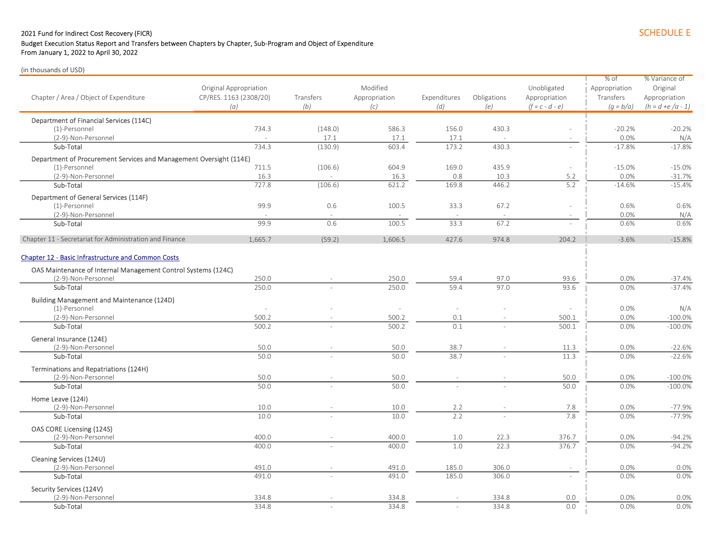### 2021 Fund for Indirect Cost Recovery (FICR) SCHEDULE E

### Budget Execution Status Report and Transfers between Chapters by Chapter, Sub-Program and Object of Expenditure

From January 1, 2022 to April 30, 2022

|                                                                                      |                        |           |               |              |             |                          | $%$ of        | % Variance of        |
|--------------------------------------------------------------------------------------|------------------------|-----------|---------------|--------------|-------------|--------------------------|---------------|----------------------|
|                                                                                      | Original Appropriation |           | Modified      |              |             | Unobligated              | Appropriation | Original             |
| Chapter / Area / Object of Expenditure                                               | CP/RES. 1163 (2308/20) | Transfers | Appropriation | Expenditures | Obligations | Appropriation            | Transfers     | Appropriation        |
|                                                                                      | (a)                    | (b)       | (c)           | (d)          | (e)         | $(f = c - d - e)$        | $(q = b/a)$   | $(h = d + e/a - 1)$  |
| Department of Financial Services (114C)                                              |                        |           |               |              |             |                          |               |                      |
| (1)-Personnel                                                                        | 734.3                  | (148.0)   | 586.3         | 156.0        | 430.3       |                          | $-20.2%$      | $-20.2%$             |
| (2-9)-Non-Personnel                                                                  |                        | 17.1      | 17.1          | 17.1         |             | $\overline{\phantom{a}}$ | 0.0%          | N/A                  |
| Sub-Total                                                                            | 734.3                  | (130.9)   | 603.4         | 173.2        | 430.3       |                          | $-17.8%$      | $-17.8%$             |
| Department of Procurement Services and Management Oversight (114E)                   |                        |           |               |              |             |                          |               |                      |
| (1)-Personnel                                                                        | 711.5                  | (106.6)   | 604.9         | 169.0        | 435.9       | $\sim$                   | $-15.0%$      | $-15.0%$             |
| (2-9)-Non-Personnel                                                                  | 16.3                   |           | 16.3          | 0.8          | 10.3        | 5.2                      | 0.0%          | $-31.7%$             |
| Sub-Total                                                                            | 727.8                  | (106.6)   | 621.2         | 169.8        | 446.2       | 5.2                      | $-14.6%$      | $-15.4%$             |
| Department of General Services (114F)                                                |                        |           |               |              |             |                          |               |                      |
| (1)-Personnel                                                                        | 99.9                   | 0.6       | 100.5         | 33.3         | 67.2        | ÷                        | 0.6%          | 0.6%                 |
| (2-9)-Non-Personnel                                                                  |                        |           |               |              |             |                          | 0.0%          | N/A                  |
| Sub-Total                                                                            | 99.9                   | 0.6       | 100.5         | 33.3         | 67.2        | $\sim$                   | 0.6%          | 0.6%                 |
| Chapter 11 - Secretariat for Administration and Finance                              | 1,665.7                | (59.2)    | 1,606.5       | 427.6        | 974.8       | 204.2                    | $-3.6%$       | $-15.8%$             |
| <b>Chapter 12 - Basic Infrastructure and Common Costs</b>                            |                        |           |               |              |             |                          |               |                      |
|                                                                                      |                        |           |               |              |             |                          |               |                      |
| OAS Maintenance of Internal Management Control Systems (124C)<br>(2-9)-Non-Personnel | 250.0                  |           | 250.0         | 59.4         | 97.0        | 93.6                     | 0.0%          |                      |
| Sub-Total                                                                            | 250.0                  |           | 250.0         | 59.4         | 97.0        | 93.6                     | 0.0%          | $-37.4%$<br>$-37.4%$ |
|                                                                                      |                        |           |               |              |             |                          |               |                      |
| <b>Building Management and Maintenance (124D)</b><br>(1)-Personnel                   | $\sim$                 |           | ÷,            |              |             | $\sim$                   | 0.0%          | N/A                  |
| (2-9)-Non-Personnel                                                                  | 500.2                  |           | 500.2         | 0.1          |             | 500.1                    | 0.0%          | $-100.0%$            |
| Sub-Total                                                                            | 500.2                  |           | 500.2         | 0.1          |             | 500.1                    | 0.0%          | $-100.0%$            |
|                                                                                      |                        |           |               |              |             |                          |               |                      |
| General Insurance (124E)                                                             |                        |           |               |              |             |                          |               |                      |
| (2-9)-Non-Personnel                                                                  | 50.0                   |           | 50.0          | 38.7<br>38.7 |             | 11.3                     | 0.0%          | $-22.6%$             |
| Sub-Total                                                                            | 50.0                   |           | 50.0          |              |             | 11.3                     | 0.0%          | $-22.6%$             |
| Terminations and Repatriations (124H)                                                |                        |           |               |              |             |                          |               |                      |
| (2-9)-Non-Personnel                                                                  | 50.0                   |           | 50.0<br>50.0  |              |             | 50.0<br>50.0             | 0.0%          | $-100.0%$            |
| Sub-Total                                                                            | 50.0                   |           |               |              |             |                          | 0.0%          | $-100.0%$            |
| Home Leave (124I)                                                                    |                        |           |               |              |             |                          |               |                      |
| (2-9)-Non-Personnel                                                                  | 10.0                   |           | 10.0          | 2.2          |             | 7.8<br>7.8               | 0.0%          | $-77.9%$<br>$-77.9%$ |
| Sub-Total                                                                            | 10.0                   |           | 10.0          | 2.2          |             |                          | 0.0%          |                      |
| OAS CORE Licensing (124S)                                                            |                        |           |               |              |             |                          |               |                      |
| (2-9)-Non-Personnel                                                                  | 400.0                  |           | 400.0         | 1.0          | 22.3        | 376.7                    | 0.0%          | $-94.2%$             |
| Sub-Total                                                                            | 400.0                  |           | 400.0         | 1.0          | 22.3        | 376.7                    | 0.0%          | $-94.2%$             |
| Cleaning Services (124U)                                                             |                        |           |               |              |             |                          |               |                      |
| (2-9)-Non-Personnel                                                                  | 491.0                  |           | 491.0         | 185.0        | 306.0       |                          | 0.0%          | 0.0%                 |
| Sub-Total                                                                            | 491.0                  |           | 491.0         | 185.0        | 306.0       |                          | 0.0%          | 0.0%                 |
| Security Services (124V)                                                             |                        |           |               |              |             |                          |               |                      |
| (2-9)-Non-Personnel                                                                  | 334.8                  |           | 334.8         |              | 334.8       | 0.0                      | 0.0%          | 0.0%                 |
| Sub-Total                                                                            | 334.8                  |           | 334.8         |              | 334.8       | 0.0                      | 0.0%          | 0.0%                 |